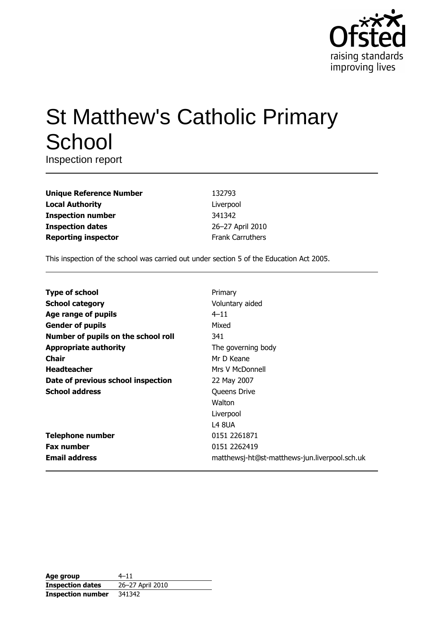

# **St Matthew's Catholic Primary** School

Inspection report

| 132793                  |
|-------------------------|
| Liverpool               |
| 341342                  |
| 26-27 April 2010        |
| <b>Frank Carruthers</b> |
|                         |

This inspection of the school was carried out under section 5 of the Education Act 2005.

| <b>Type of school</b>               | Primary                                       |
|-------------------------------------|-----------------------------------------------|
| <b>School category</b>              | Voluntary aided                               |
| Age range of pupils                 | $4 - 11$                                      |
| <b>Gender of pupils</b>             | Mixed                                         |
| Number of pupils on the school roll | 341                                           |
| <b>Appropriate authority</b>        | The governing body                            |
| Chair                               | Mr D Keane                                    |
| <b>Headteacher</b>                  | Mrs V McDonnell                               |
| Date of previous school inspection  | 22 May 2007                                   |
| <b>School address</b>               | Queens Drive                                  |
|                                     | Walton                                        |
|                                     | Liverpool                                     |
|                                     | <b>L4 8UA</b>                                 |
| <b>Telephone number</b>             | 0151 2261871                                  |
| <b>Fax number</b>                   | 0151 2262419                                  |
| <b>Email address</b>                | matthewsj-ht@st-matthews-jun.liverpool.sch.uk |

| Age group                | $4 - 11$         |
|--------------------------|------------------|
| <b>Inspection dates</b>  | 26-27 April 2010 |
| <b>Inspection number</b> | 341342           |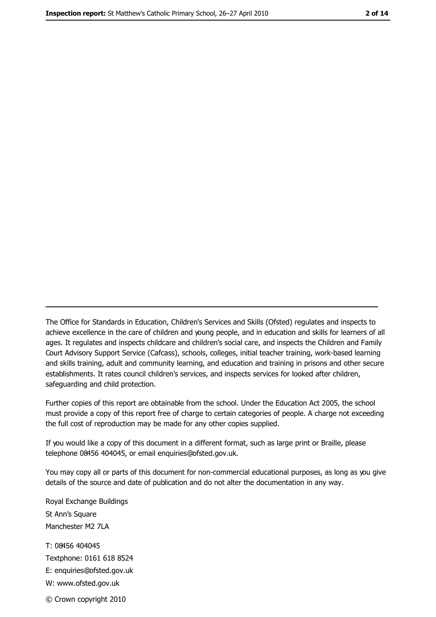The Office for Standards in Education, Children's Services and Skills (Ofsted) regulates and inspects to achieve excellence in the care of children and young people, and in education and skills for learners of all ages. It regulates and inspects childcare and children's social care, and inspects the Children and Family Court Advisory Support Service (Cafcass), schools, colleges, initial teacher training, work-based learning and skills training, adult and community learning, and education and training in prisons and other secure establishments. It rates council children's services, and inspects services for looked after children, safequarding and child protection.

Further copies of this report are obtainable from the school. Under the Education Act 2005, the school must provide a copy of this report free of charge to certain categories of people. A charge not exceeding the full cost of reproduction may be made for any other copies supplied.

If you would like a copy of this document in a different format, such as large print or Braille, please telephone 08456 404045, or email enquiries@ofsted.gov.uk.

You may copy all or parts of this document for non-commercial educational purposes, as long as you give details of the source and date of publication and do not alter the documentation in any way.

Royal Exchange Buildings St Ann's Square Manchester M2 7LA T: 08456 404045 Textphone: 0161 618 8524 E: enquiries@ofsted.gov.uk W: www.ofsted.gov.uk © Crown copyright 2010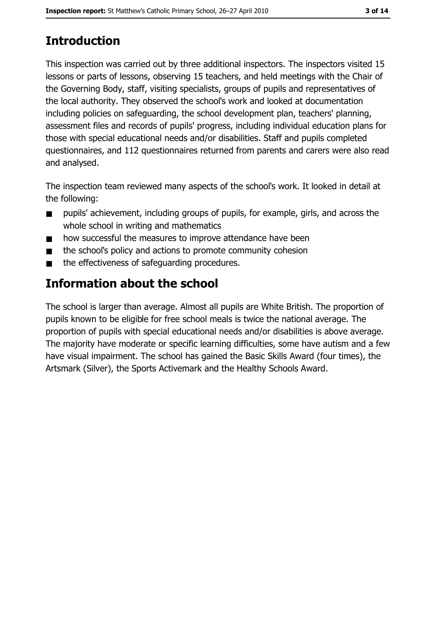# **Introduction**

This inspection was carried out by three additional inspectors. The inspectors visited 15 lessons or parts of lessons, observing 15 teachers, and held meetings with the Chair of the Governing Body, staff, visiting specialists, groups of pupils and representatives of the local authority. They observed the school's work and looked at documentation including policies on safeguarding, the school development plan, teachers' planning, assessment files and records of pupils' progress, including individual education plans for those with special educational needs and/or disabilities. Staff and pupils completed questionnaires, and 112 questionnaires returned from parents and carers were also read and analysed.

The inspection team reviewed many aspects of the school's work. It looked in detail at the following:

- pupils' achievement, including groups of pupils, for example, girls, and across the  $\blacksquare$ whole school in writing and mathematics
- how successful the measures to improve attendance have been  $\blacksquare$
- the school's policy and actions to promote community cohesion  $\blacksquare$
- the effectiveness of safeguarding procedures.  $\blacksquare$

# Information about the school

The school is larger than average. Almost all pupils are White British. The proportion of pupils known to be eligible for free school meals is twice the national average. The proportion of pupils with special educational needs and/or disabilities is above average. The majority have moderate or specific learning difficulties, some have autism and a few have visual impairment. The school has gained the Basic Skills Award (four times), the Artsmark (Silver), the Sports Activemark and the Healthy Schools Award.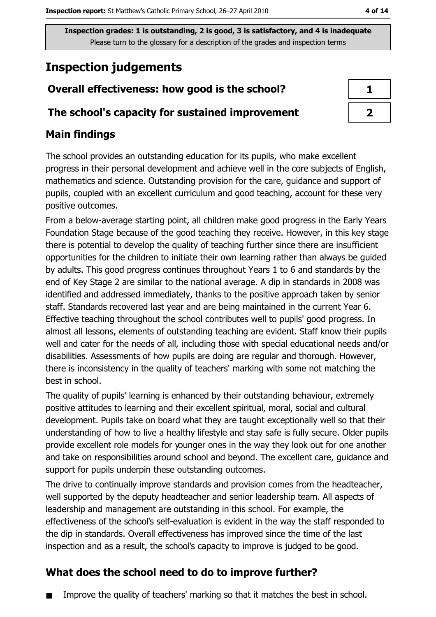# **Inspection judgements**

# Overall effectiveness: how good is the school?

# The school's capacity for sustained improvement

# **Main findings**

The school provides an outstanding education for its pupils, who make excellent progress in their personal development and achieve well in the core subjects of English, mathematics and science. Outstanding provision for the care, guidance and support of pupils, coupled with an excellent curriculum and good teaching, account for these very positive outcomes.

From a below-average starting point, all children make good progress in the Early Years Foundation Stage because of the good teaching they receive. However, in this key stage there is potential to develop the quality of teaching further since there are insufficient opportunities for the children to initiate their own learning rather than always be guided by adults. This good progress continues throughout Years 1 to 6 and standards by the end of Key Stage 2 are similar to the national average. A dip in standards in 2008 was identified and addressed immediately, thanks to the positive approach taken by senior staff. Standards recovered last year and are being maintained in the current Year 6. Effective teaching throughout the school contributes well to pupils' good progress. In almost all lessons, elements of outstanding teaching are evident. Staff know their pupils well and cater for the needs of all, including those with special educational needs and/or disabilities. Assessments of how pupils are doing are regular and thorough. However, there is inconsistency in the quality of teachers' marking with some not matching the best in school.

The quality of pupils' learning is enhanced by their outstanding behaviour, extremely positive attitudes to learning and their excellent spiritual, moral, social and cultural development. Pupils take on board what they are taught exceptionally well so that their understanding of how to live a healthy lifestyle and stay safe is fully secure. Older pupils provide excellent role models for younger ones in the way they look out for one another and take on responsibilities around school and beyond. The excellent care, guidance and support for pupils underpin these outstanding outcomes.

The drive to continually improve standards and provision comes from the headteacher, well supported by the deputy headteacher and senior leadership team. All aspects of leadership and management are outstanding in this school. For example, the effectiveness of the school's self-evaluation is evident in the way the staff responded to the dip in standards. Overall effectiveness has improved since the time of the last inspection and as a result, the school's capacity to improve is judged to be good.

# What does the school need to do to improve further?

Improve the quality of teachers' marking so that it matches the best in school.

| J.<br>ı |  |
|---------|--|
| 2       |  |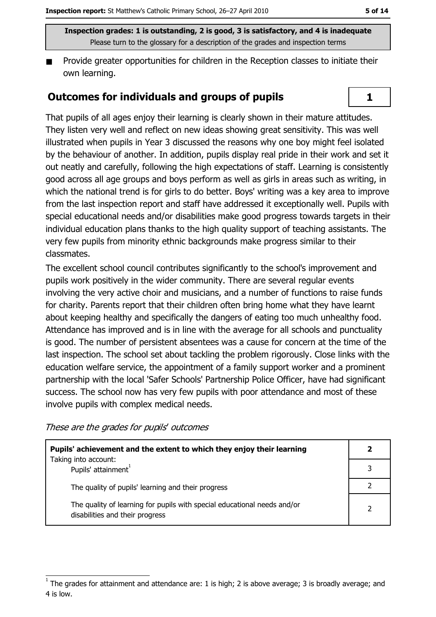Provide greater opportunities for children in the Reception classes to initiate their  $\blacksquare$ own learning.

### **Outcomes for individuals and groups of pupils**

That pupils of all ages enjoy their learning is clearly shown in their mature attitudes. They listen very well and reflect on new ideas showing great sensitivity. This was well illustrated when pupils in Year 3 discussed the reasons why one boy might feel isolated by the behaviour of another. In addition, pupils display real pride in their work and set it out neatly and carefully, following the high expectations of staff. Learning is consistently good across all age groups and boys perform as well as girls in areas such as writing, in which the national trend is for girls to do better. Boys' writing was a key area to improve from the last inspection report and staff have addressed it exceptionally well. Pupils with special educational needs and/or disabilities make good progress towards targets in their individual education plans thanks to the high quality support of teaching assistants. The very few pupils from minority ethnic backgrounds make progress similar to their classmates.

The excellent school council contributes significantly to the school's improvement and pupils work positively in the wider community. There are several regular events involving the very active choir and musicians, and a number of functions to raise funds for charity. Parents report that their children often bring home what they have learnt about keeping healthy and specifically the dangers of eating too much unhealthy food. Attendance has improved and is in line with the average for all schools and punctuality is good. The number of persistent absentees was a cause for concern at the time of the last inspection. The school set about tackling the problem rigorously. Close links with the education welfare service, the appointment of a family support worker and a prominent partnership with the local 'Safer Schools' Partnership Police Officer, have had significant success. The school now has very few pupils with poor attendance and most of these involve pupils with complex medical needs.

These are the grades for pupils' outcomes

| Pupils' achievement and the extent to which they enjoy their learning                                       | $\overline{\mathbf{2}}$ |
|-------------------------------------------------------------------------------------------------------------|-------------------------|
| Taking into account:<br>Pupils' attainment <sup>1</sup>                                                     |                         |
| The quality of pupils' learning and their progress                                                          |                         |
| The quality of learning for pupils with special educational needs and/or<br>disabilities and their progress | $\overline{2}$          |

 $\mathbf{1}$ 

The grades for attainment and attendance are: 1 is high; 2 is above average; 3 is broadly average; and 4 is low.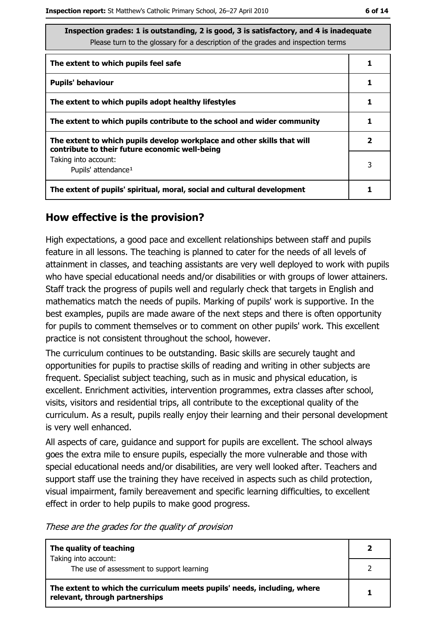| Inspection grades: 1 is outstanding, 2 is good, 3 is satisfactory, and 4 is inadequate<br>Please turn to the glossary for a description of the grades and inspection terms |              |  |  |
|----------------------------------------------------------------------------------------------------------------------------------------------------------------------------|--------------|--|--|
| The extent to which pupils feel safe                                                                                                                                       |              |  |  |
| <b>Pupils' behaviour</b>                                                                                                                                                   | 1            |  |  |
| The extent to which pupils adopt healthy lifestyles                                                                                                                        |              |  |  |
| The extent to which pupils contribute to the school and wider community                                                                                                    |              |  |  |
| The extent to which pupils develop workplace and other skills that will<br>contribute to their future economic well-being                                                  | $\mathbf{2}$ |  |  |
| Taking into account:<br>Pupils' attendance <sup>1</sup>                                                                                                                    | 3            |  |  |
| The extent of pupils' spiritual, moral, social and cultural development                                                                                                    |              |  |  |

# How effective is the provision?

High expectations, a good pace and excellent relationships between staff and pupils feature in all lessons. The teaching is planned to cater for the needs of all levels of attainment in classes, and teaching assistants are very well deployed to work with pupils who have special educational needs and/or disabilities or with groups of lower attainers. Staff track the progress of pupils well and regularly check that targets in English and mathematics match the needs of pupils. Marking of pupils' work is supportive. In the best examples, pupils are made aware of the next steps and there is often opportunity for pupils to comment themselves or to comment on other pupils' work. This excellent practice is not consistent throughout the school, however.

The curriculum continues to be outstanding. Basic skills are securely taught and opportunities for pupils to practise skills of reading and writing in other subjects are frequent. Specialist subject teaching, such as in music and physical education, is excellent. Enrichment activities, intervention programmes, extra classes after school, visits, visitors and residential trips, all contribute to the exceptional quality of the curriculum. As a result, pupils really enjoy their learning and their personal development is very well enhanced.

All aspects of care, guidance and support for pupils are excellent. The school always goes the extra mile to ensure pupils, especially the more vulnerable and those with special educational needs and/or disabilities, are very well looked after. Teachers and support staff use the training they have received in aspects such as child protection, visual impairment, family bereavement and specific learning difficulties, to excellent effect in order to help pupils to make good progress.

These are the grades for the quality of provision

| The quality of teaching                                                                                    |  |
|------------------------------------------------------------------------------------------------------------|--|
| Taking into account:<br>The use of assessment to support learning                                          |  |
| The extent to which the curriculum meets pupils' needs, including, where<br>relevant, through partnerships |  |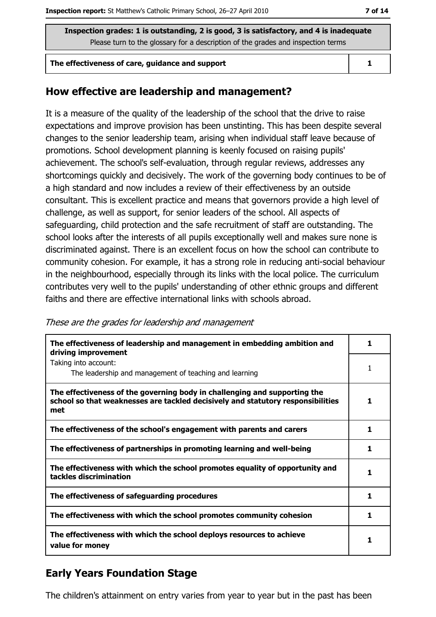#### The effectiveness of care, quidance and support

#### $\mathbf{1}$

### How effective are leadership and management?

It is a measure of the quality of the leadership of the school that the drive to raise expectations and improve provision has been unstinting. This has been despite several changes to the senior leadership team, arising when individual staff leave because of promotions. School development planning is keenly focused on raising pupils' achievement. The school's self-evaluation, through regular reviews, addresses any shortcomings quickly and decisively. The work of the governing body continues to be of a high standard and now includes a review of their effectiveness by an outside consultant. This is excellent practice and means that governors provide a high level of challenge, as well as support, for senior leaders of the school. All aspects of safeguarding, child protection and the safe recruitment of staff are outstanding. The school looks after the interests of all pupils exceptionally well and makes sure none is discriminated against. There is an excellent focus on how the school can contribute to community cohesion. For example, it has a strong role in reducing anti-social behaviour in the neighbourhood, especially through its links with the local police. The curriculum contributes very well to the pupils' understanding of other ethnic groups and different faiths and there are effective international links with schools abroad.

#### These are the grades for leadership and management

| The effectiveness of leadership and management in embedding ambition and<br>driving improvement                                                                     |    |
|---------------------------------------------------------------------------------------------------------------------------------------------------------------------|----|
| Taking into account:<br>The leadership and management of teaching and learning                                                                                      | 1  |
| The effectiveness of the governing body in challenging and supporting the<br>school so that weaknesses are tackled decisively and statutory responsibilities<br>met |    |
| The effectiveness of the school's engagement with parents and carers                                                                                                | 1. |
| The effectiveness of partnerships in promoting learning and well-being                                                                                              | 1  |
| The effectiveness with which the school promotes equality of opportunity and<br>tackles discrimination                                                              |    |
| The effectiveness of safeguarding procedures                                                                                                                        |    |
| The effectiveness with which the school promotes community cohesion                                                                                                 | 1. |
| The effectiveness with which the school deploys resources to achieve<br>value for money                                                                             |    |

# **Early Years Foundation Stage**

The children's attainment on entry varies from year to year but in the past has been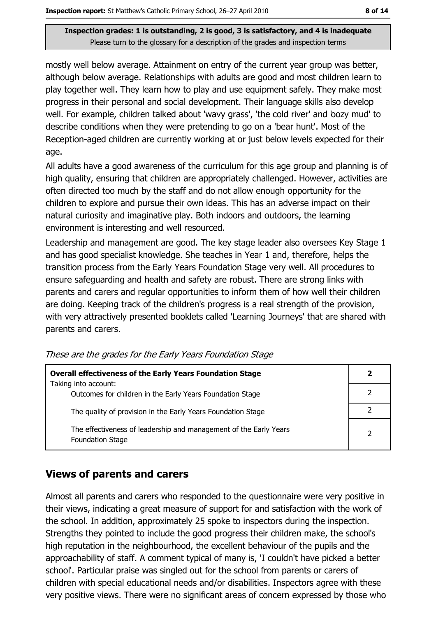mostly well below average. Attainment on entry of the current year group was better, although below average. Relationships with adults are good and most children learn to play together well. They learn how to play and use equipment safely. They make most progress in their personal and social development. Their language skills also develop well. For example, children talked about 'wavy grass', 'the cold river' and 'oozy mud' to describe conditions when they were pretending to go on a 'bear hunt'. Most of the Reception-aged children are currently working at or just below levels expected for their age.

All adults have a good awareness of the curriculum for this age group and planning is of high quality, ensuring that children are appropriately challenged. However, activities are often directed too much by the staff and do not allow enough opportunity for the children to explore and pursue their own ideas. This has an adverse impact on their natural curiosity and imaginative play. Both indoors and outdoors, the learning environment is interesting and well resourced.

Leadership and management are good. The key stage leader also oversees Key Stage 1 and has good specialist knowledge. She teaches in Year 1 and, therefore, helps the transition process from the Early Years Foundation Stage very well. All procedures to ensure safeguarding and health and safety are robust. There are strong links with parents and carers and regular opportunities to inform them of how well their children are doing. Keeping track of the children's progress is a real strength of the provision, with very attractively presented booklets called 'Learning Journeys' that are shared with parents and carers.

| <b>Overall effectiveness of the Early Years Foundation Stage</b>                             |  |
|----------------------------------------------------------------------------------------------|--|
| Taking into account:<br>Outcomes for children in the Early Years Foundation Stage            |  |
| The quality of provision in the Early Years Foundation Stage                                 |  |
| The effectiveness of leadership and management of the Early Years<br><b>Foundation Stage</b> |  |

These are the grades for the Early Years Foundation Stage

# **Views of parents and carers**

Almost all parents and carers who responded to the questionnaire were very positive in their views, indicating a great measure of support for and satisfaction with the work of the school. In addition, approximately 25 spoke to inspectors during the inspection. Strengths they pointed to include the good progress their children make, the school's high reputation in the neighbourhood, the excellent behaviour of the pupils and the approachability of staff. A comment typical of many is, 'I couldn't have picked a better school'. Particular praise was singled out for the school from parents or carers of children with special educational needs and/or disabilities. Inspectors agree with these very positive views. There were no significant areas of concern expressed by those who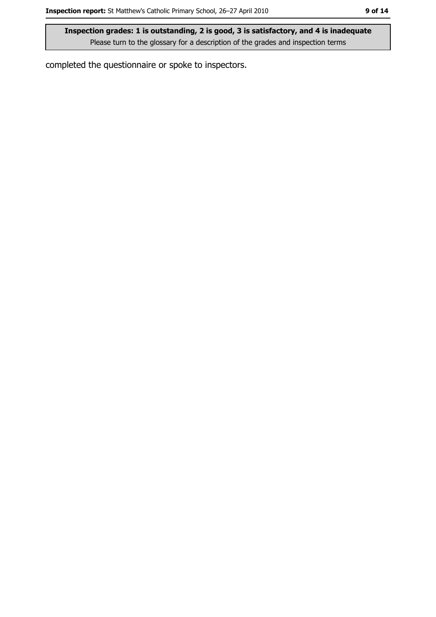completed the questionnaire or spoke to inspectors.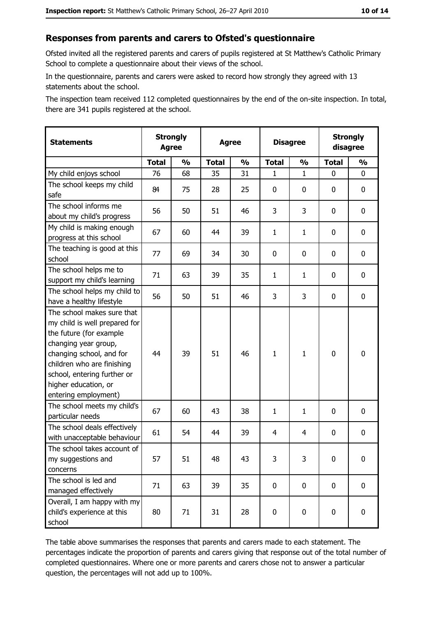### Responses from parents and carers to Ofsted's questionnaire

Ofsted invited all the registered parents and carers of pupils registered at St Matthew's Catholic Primary School to complete a questionnaire about their views of the school.

In the questionnaire, parents and carers were asked to record how strongly they agreed with 13 statements about the school.

The inspection team received 112 completed questionnaires by the end of the on-site inspection. In total, there are 341 pupils registered at the school.

| <b>Statements</b>                                                                                                                                                                                                                                       | <b>Strongly</b><br><b>Agree</b> |               | <b>Agree</b> |               | <b>Disagree</b> |               |              | <b>Strongly</b><br>disagree |
|---------------------------------------------------------------------------------------------------------------------------------------------------------------------------------------------------------------------------------------------------------|---------------------------------|---------------|--------------|---------------|-----------------|---------------|--------------|-----------------------------|
|                                                                                                                                                                                                                                                         | <b>Total</b>                    | $\frac{0}{0}$ | <b>Total</b> | $\frac{1}{2}$ | <b>Total</b>    | $\frac{0}{0}$ | <b>Total</b> | $\frac{1}{2}$               |
| My child enjoys school                                                                                                                                                                                                                                  | 76                              | 68            | 35           | 31            | 1               | $\mathbf 1$   | $\Omega$     | 0                           |
| The school keeps my child<br>safe                                                                                                                                                                                                                       | 84                              | 75            | 28           | 25            | 0               | 0             | 0            | 0                           |
| The school informs me<br>about my child's progress                                                                                                                                                                                                      | 56                              | 50            | 51           | 46            | 3               | 3             | 0            | $\mathbf 0$                 |
| My child is making enough<br>progress at this school                                                                                                                                                                                                    | 67                              | 60            | 44           | 39            | $\mathbf{1}$    | $\mathbf{1}$  | 0            | 0                           |
| The teaching is good at this<br>school                                                                                                                                                                                                                  | 77                              | 69            | 34           | 30            | 0               | 0             | 0            | 0                           |
| The school helps me to<br>support my child's learning                                                                                                                                                                                                   | 71                              | 63            | 39           | 35            | $\mathbf{1}$    | $\mathbf{1}$  | 0            | $\mathbf 0$                 |
| The school helps my child to<br>have a healthy lifestyle                                                                                                                                                                                                | 56                              | 50            | 51           | 46            | 3               | 3             | 0            | 0                           |
| The school makes sure that<br>my child is well prepared for<br>the future (for example<br>changing year group,<br>changing school, and for<br>children who are finishing<br>school, entering further or<br>higher education, or<br>entering employment) | 44                              | 39            | 51           | 46            | $\mathbf{1}$    | 1             | $\mathbf 0$  | $\mathbf 0$                 |
| The school meets my child's<br>particular needs                                                                                                                                                                                                         | 67                              | 60            | 43           | 38            | $\mathbf{1}$    | $\mathbf 1$   | 0            | 0                           |
| The school deals effectively<br>with unacceptable behaviour                                                                                                                                                                                             | 61                              | 54            | 44           | 39            | 4               | 4             | 0            | $\mathbf 0$                 |
| The school takes account of<br>my suggestions and<br>concerns                                                                                                                                                                                           | 57                              | 51            | 48           | 43            | 3               | 3             | 0            | 0                           |
| The school is led and<br>managed effectively                                                                                                                                                                                                            | 71                              | 63            | 39           | 35            | $\mathbf 0$     | 0             | $\bf{0}$     | $\mathbf 0$                 |
| Overall, I am happy with my<br>child's experience at this<br>school                                                                                                                                                                                     | 80                              | 71            | 31           | 28            | $\mathbf 0$     | 0             | $\mathbf 0$  | $\mathbf 0$                 |

The table above summarises the responses that parents and carers made to each statement. The percentages indicate the proportion of parents and carers giving that response out of the total number of completed questionnaires. Where one or more parents and carers chose not to answer a particular question, the percentages will not add up to 100%.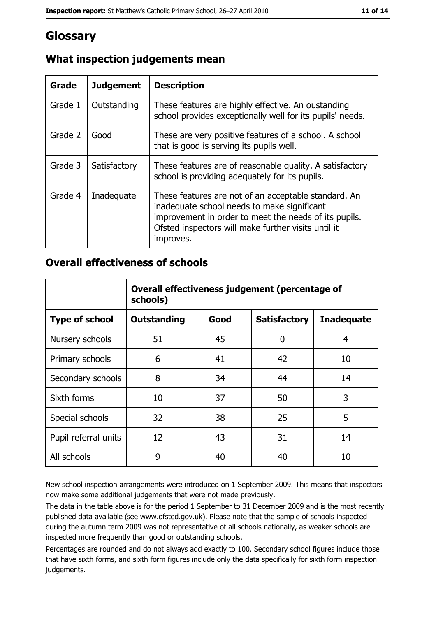# Glossary

| <b>Grade</b> | <b>Judgement</b> | <b>Description</b>                                                                                                                                                                                                               |
|--------------|------------------|----------------------------------------------------------------------------------------------------------------------------------------------------------------------------------------------------------------------------------|
| Grade 1      | Outstanding      | These features are highly effective. An oustanding<br>school provides exceptionally well for its pupils' needs.                                                                                                                  |
| Grade 2      | Good             | These are very positive features of a school. A school<br>that is good is serving its pupils well.                                                                                                                               |
| Grade 3      | Satisfactory     | These features are of reasonable quality. A satisfactory<br>school is providing adequately for its pupils.                                                                                                                       |
| Grade 4      | Inadequate       | These features are not of an acceptable standard. An<br>inadequate school needs to make significant<br>improvement in order to meet the needs of its pupils.<br>Ofsted inspectors will make further visits until it<br>improves. |

# What inspection judgements mean

# **Overall effectiveness of schools**

|                       | Overall effectiveness judgement (percentage of<br>schools) |      |                     |                   |  |
|-----------------------|------------------------------------------------------------|------|---------------------|-------------------|--|
| <b>Type of school</b> | <b>Outstanding</b>                                         | Good | <b>Satisfactory</b> | <b>Inadequate</b> |  |
| Nursery schools       | 51                                                         | 45   | 0                   | 4                 |  |
| Primary schools       | 6                                                          | 41   | 42                  | 10                |  |
| Secondary schools     | 8                                                          | 34   | 44                  | 14                |  |
| Sixth forms           | 10                                                         | 37   | 50                  | 3                 |  |
| Special schools       | 32                                                         | 38   | 25                  | 5                 |  |
| Pupil referral units  | 12                                                         | 43   | 31                  | 14                |  |
| All schools           | 9                                                          | 40   | 40                  | 10                |  |

New school inspection arrangements were introduced on 1 September 2009. This means that inspectors now make some additional judgements that were not made previously.

The data in the table above is for the period 1 September to 31 December 2009 and is the most recently published data available (see www.ofsted.gov.uk). Please note that the sample of schools inspected during the autumn term 2009 was not representative of all schools nationally, as weaker schools are inspected more frequently than good or outstanding schools.

Percentages are rounded and do not always add exactly to 100. Secondary school figures include those that have sixth forms, and sixth form figures include only the data specifically for sixth form inspection judgements.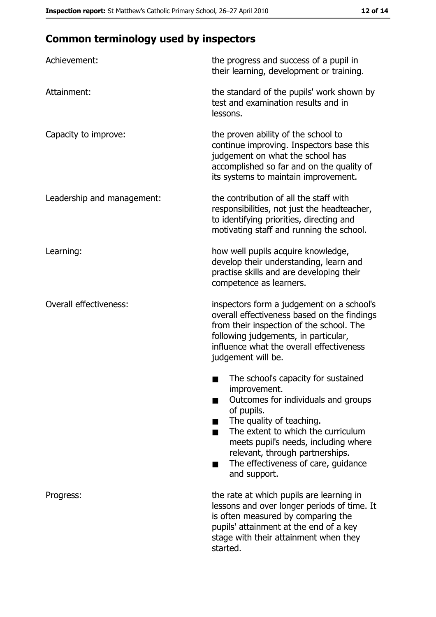# **Common terminology used by inspectors**

| Achievement:                  | the progress and success of a pupil in<br>their learning, development or training.                                                                                                                                                                                                                           |
|-------------------------------|--------------------------------------------------------------------------------------------------------------------------------------------------------------------------------------------------------------------------------------------------------------------------------------------------------------|
| Attainment:                   | the standard of the pupils' work shown by<br>test and examination results and in<br>lessons.                                                                                                                                                                                                                 |
| Capacity to improve:          | the proven ability of the school to<br>continue improving. Inspectors base this<br>judgement on what the school has<br>accomplished so far and on the quality of<br>its systems to maintain improvement.                                                                                                     |
| Leadership and management:    | the contribution of all the staff with<br>responsibilities, not just the headteacher,<br>to identifying priorities, directing and<br>motivating staff and running the school.                                                                                                                                |
| Learning:                     | how well pupils acquire knowledge,<br>develop their understanding, learn and<br>practise skills and are developing their<br>competence as learners.                                                                                                                                                          |
| <b>Overall effectiveness:</b> | inspectors form a judgement on a school's<br>overall effectiveness based on the findings<br>from their inspection of the school. The<br>following judgements, in particular,<br>influence what the overall effectiveness<br>judgement will be.                                                               |
|                               | The school's capacity for sustained<br>improvement.<br>Outcomes for individuals and groups<br>of pupils.<br>The quality of teaching.<br>The extent to which the curriculum<br>meets pupil's needs, including where<br>relevant, through partnerships.<br>The effectiveness of care, guidance<br>and support. |
| Progress:                     | the rate at which pupils are learning in<br>lessons and over longer periods of time. It<br>is often measured by comparing the<br>pupils' attainment at the end of a key<br>stage with their attainment when they<br>started.                                                                                 |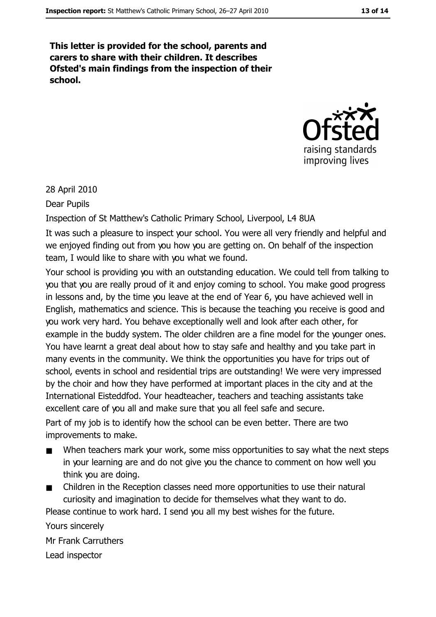This letter is provided for the school, parents and carers to share with their children. It describes Ofsted's main findings from the inspection of their school.



28 April 2010

Dear Pupils

Inspection of St Matthew's Catholic Primary School, Liverpool, L4 8UA

It was such a pleasure to inspect your school. You were all very friendly and helpful and we enjoyed finding out from you how you are getting on. On behalf of the inspection team, I would like to share with you what we found.

Your school is providing you with an outstanding education. We could tell from talking to you that you are really proud of it and enjoy coming to school. You make good progress in lessons and, by the time you leave at the end of Year 6, you have achieved well in English, mathematics and science. This is because the teaching you receive is good and you work very hard. You behave exceptionally well and look after each other, for example in the buddy system. The older children are a fine model for the younger ones. You have learnt a great deal about how to stay safe and healthy and you take part in many events in the community. We think the opportunities you have for trips out of school, events in school and residential trips are outstanding! We were very impressed by the choir and how they have performed at important places in the city and at the International Eisteddfod. Your headteacher, teachers and teaching assistants take excellent care of you all and make sure that you all feel safe and secure.

Part of my job is to identify how the school can be even better. There are two improvements to make.

- When teachers mark your work, some miss opportunities to say what the next steps  $\blacksquare$ in your learning are and do not give you the chance to comment on how well you think you are doing.
- Children in the Reception classes need more opportunities to use their natural curiosity and imagination to decide for themselves what they want to do.

Please continue to work hard. I send you all my best wishes for the future.

Yours sincerely Mr Frank Carruthers Lead inspector